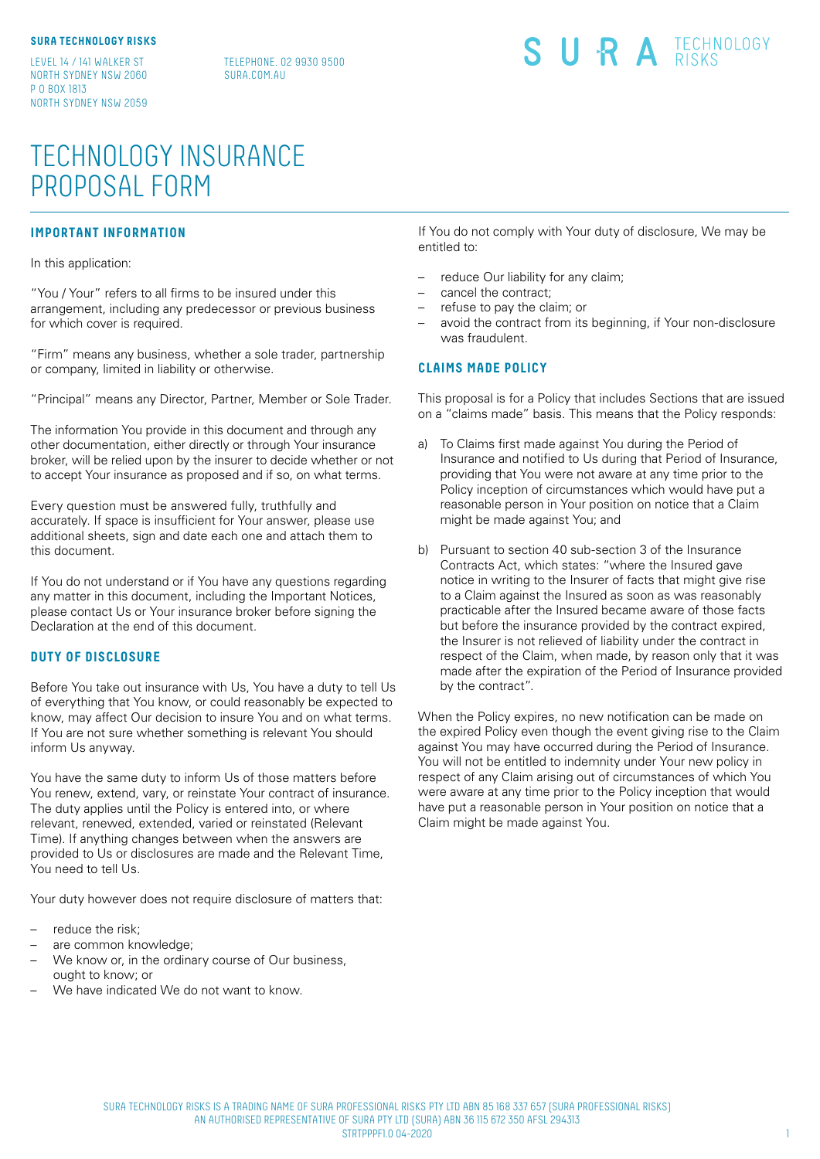LEVEL 14 / 141 WALKER ST NORTH SYDNEY NSW 2060 P O BOX 1813 NORTH SYDNEY NSW 2059

TELEPHONE. 02 9930 9500 SURA COM ALL

# SURA **ECHNOLOGY**

# TECHNOLOGY INSURANCE PROPOSAL FORM

# **IMPORTANT INFORMATION**

In this application:

"You / Your" refers to all firms to be insured under this arrangement, including any predecessor or previous business for which cover is required.

"Firm" means any business, whether a sole trader, partnership or company, limited in liability or otherwise.

"Principal" means any Director, Partner, Member or Sole Trader.

The information You provide in this document and through any other documentation, either directly or through Your insurance broker, will be relied upon by the insurer to decide whether or not to accept Your insurance as proposed and if so, on what terms.

Every question must be answered fully, truthfully and accurately. If space is insufficient for Your answer, please use additional sheets, sign and date each one and attach them to this document.

If You do not understand or if You have any questions regarding any matter in this document, including the Important Notices, please contact Us or Your insurance broker before signing the Declaration at the end of this document.

### **DUTY OF DISCLOSURE**

Before You take out insurance with Us, You have a duty to tell Us of everything that You know, or could reasonably be expected to know, may affect Our decision to insure You and on what terms. If You are not sure whether something is relevant You should inform Us anyway.

You have the same duty to inform Us of those matters before You renew, extend, vary, or reinstate Your contract of insurance. The duty applies until the Policy is entered into, or where relevant, renewed, extended, varied or reinstated (Relevant Time). If anything changes between when the answers are provided to Us or disclosures are made and the Relevant Time, You need to tell Us.

Your duty however does not require disclosure of matters that:

- reduce the risk;
- are common knowledge;
- We know or, in the ordinary course of Our business, ought to know; or
- We have indicated We do not want to know.

If You do not comply with Your duty of disclosure, We may be entitled to:

- reduce Our liability for any claim;
- cancel the contract;
- refuse to pay the claim; or
- avoid the contract from its beginning, if Your non-disclosure was fraudulent.

### **CLAIMS MADE POLICY**

This proposal is for a Policy that includes Sections that are issued on a "claims made" basis. This means that the Policy responds:

- a) To Claims first made against You during the Period of Insurance and notified to Us during that Period of Insurance, providing that You were not aware at any time prior to the Policy inception of circumstances which would have put a reasonable person in Your position on notice that a Claim might be made against You; and
- b) Pursuant to section 40 sub-section 3 of the Insurance Contracts Act, which states: "where the Insured gave notice in writing to the Insurer of facts that might give rise to a Claim against the Insured as soon as was reasonably practicable after the Insured became aware of those facts but before the insurance provided by the contract expired, the Insurer is not relieved of liability under the contract in respect of the Claim, when made, by reason only that it was made after the expiration of the Period of Insurance provided by the contract".

When the Policy expires, no new notification can be made on the expired Policy even though the event giving rise to the Claim against You may have occurred during the Period of Insurance. You will not be entitled to indemnity under Your new policy in respect of any Claim arising out of circumstances of which You were aware at any time prior to the Policy inception that would have put a reasonable person in Your position on notice that a Claim might be made against You.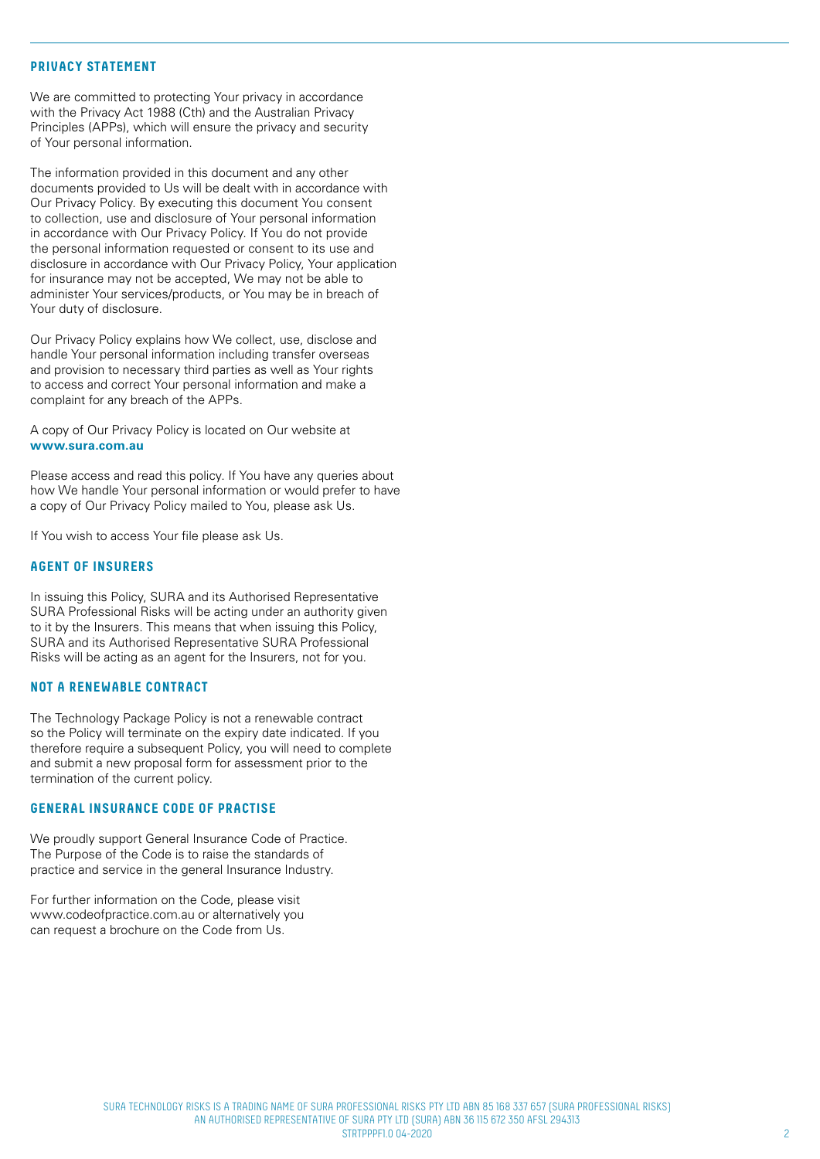#### **PRIVACY STATEMENT**

We are committed to protecting Your privacy in accordance with the Privacy Act 1988 (Cth) and the Australian Privacy Principles (APPs), which will ensure the privacy and security of Your personal information.

The information provided in this document and any other documents provided to Us will be dealt with in accordance with Our Privacy Policy. By executing this document You consent to collection, use and disclosure of Your personal information in accordance with Our Privacy Policy. If You do not provide the personal information requested or consent to its use and disclosure in accordance with Our Privacy Policy, Your application for insurance may not be accepted, We may not be able to administer Your services/products, or You may be in breach of Your duty of disclosure.

Our Privacy Policy explains how We collect, use, disclose and handle Your personal information including transfer overseas and provision to necessary third parties as well as Your rights to access and correct Your personal information and make a complaint for any breach of the APPs.

A copy of Our Privacy Policy is located on Our website at **www.sura.com.au** 

Please access and read this policy. If You have any queries about how We handle Your personal information or would prefer to have a copy of Our Privacy Policy mailed to You, please ask Us.

If You wish to access Your file please ask Us.

### **AGENT OF INSURERS**

In issuing this Policy, SURA and its Authorised Representative SURA Professional Risks will be acting under an authority given to it by the Insurers. This means that when issuing this Policy, SURA and its Authorised Representative SURA Professional Risks will be acting as an agent for the Insurers, not for you.

#### **NOT A RENEWABLE CONTRACT**

The Technology Package Policy is not a renewable contract so the Policy will terminate on the expiry date indicated. If you therefore require a subsequent Policy, you will need to complete and submit a new proposal form for assessment prior to the termination of the current policy.

### **GENERAL INSURANCE CODE OF PRACTISE**

We proudly support General Insurance Code of Practice. The Purpose of the Code is to raise the standards of practice and service in the general Insurance Industry.

For further information on the Code, please visit www.codeofpractice.com.au or alternatively you can request a brochure on the Code from Us.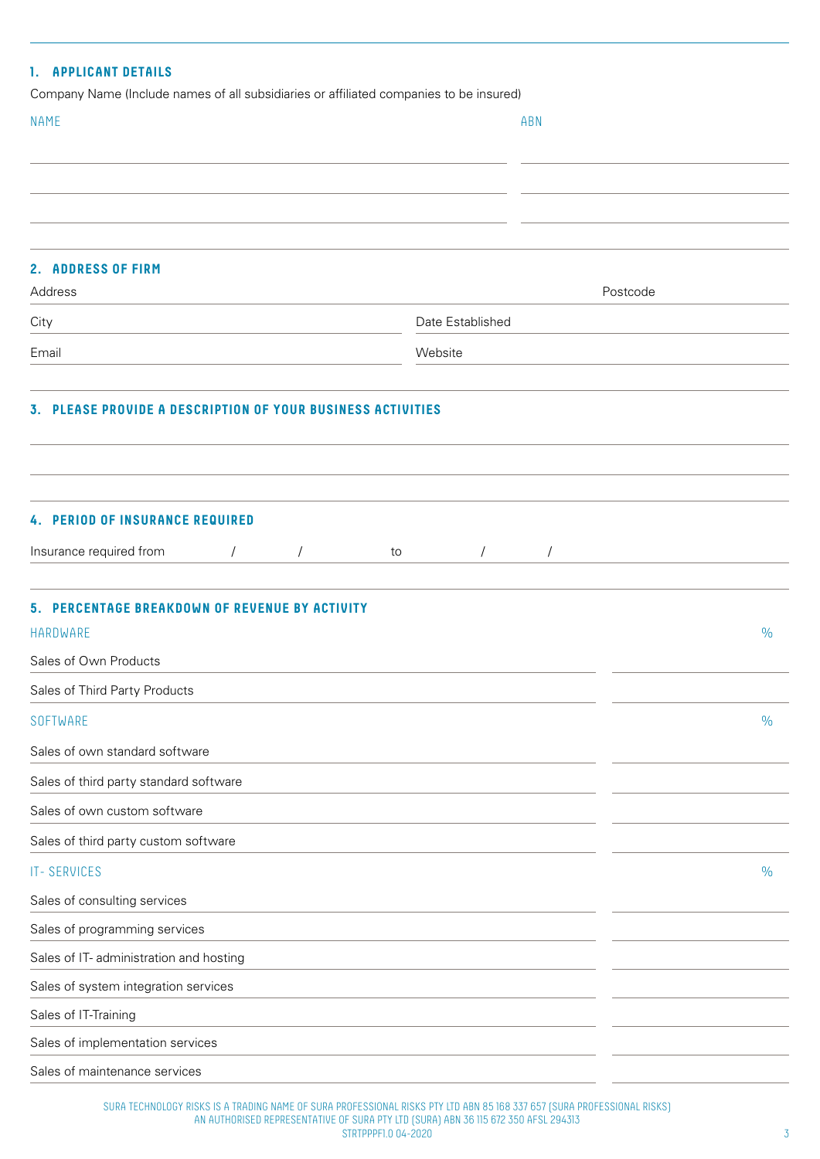| 1. APPLICANT DETAILS                                                                                  |                  |            |               |
|-------------------------------------------------------------------------------------------------------|------------------|------------|---------------|
| Company Name (Include names of all subsidiaries or affiliated companies to be insured)<br><b>NAME</b> | ABN              |            |               |
|                                                                                                       |                  |            |               |
|                                                                                                       |                  |            |               |
|                                                                                                       |                  |            |               |
|                                                                                                       |                  |            |               |
| 2. ADDRESS OF FIRM                                                                                    |                  |            |               |
| Address                                                                                               |                  | Postcode   |               |
| City                                                                                                  | Date Established |            |               |
| Email                                                                                                 | Website          |            |               |
|                                                                                                       |                  |            |               |
| 3. PLEASE PROVIDE A DESCRIPTION OF YOUR BUSINESS ACTIVITIES                                           |                  |            |               |
|                                                                                                       |                  |            |               |
|                                                                                                       |                  |            |               |
|                                                                                                       |                  |            |               |
| <b>4. PERIOD OF INSURANCE REQUIRED</b>                                                                |                  |            |               |
| Insurance required from<br>$\sqrt{2}$                                                                 | to<br>$\sqrt{2}$ | $\sqrt{2}$ |               |
| 5. PERCENTAGE BREAKDOWN OF REVENUE BY ACTIVITY                                                        |                  |            |               |
| HARDWARE                                                                                              |                  |            | $\frac{0}{0}$ |
| Sales of Own Products                                                                                 |                  |            |               |
| Sales of Third Party Products                                                                         |                  |            |               |
| SOFTWARE                                                                                              |                  |            | $\frac{0}{0}$ |
| Sales of own standard software                                                                        |                  |            |               |
| Sales of third party standard software                                                                |                  |            |               |
| Sales of own custom software                                                                          |                  |            |               |
| Sales of third party custom software                                                                  |                  |            |               |
| <b>IT-SERVICES</b>                                                                                    |                  |            | $\frac{0}{0}$ |
| Sales of consulting services                                                                          |                  |            |               |
| Sales of programming services                                                                         |                  |            |               |
| Sales of IT- administration and hosting                                                               |                  |            |               |
| Sales of system integration services                                                                  |                  |            |               |
| Sales of IT-Training                                                                                  |                  |            |               |
| Sales of implementation services                                                                      |                  |            |               |
| Sales of maintenance services                                                                         |                  |            |               |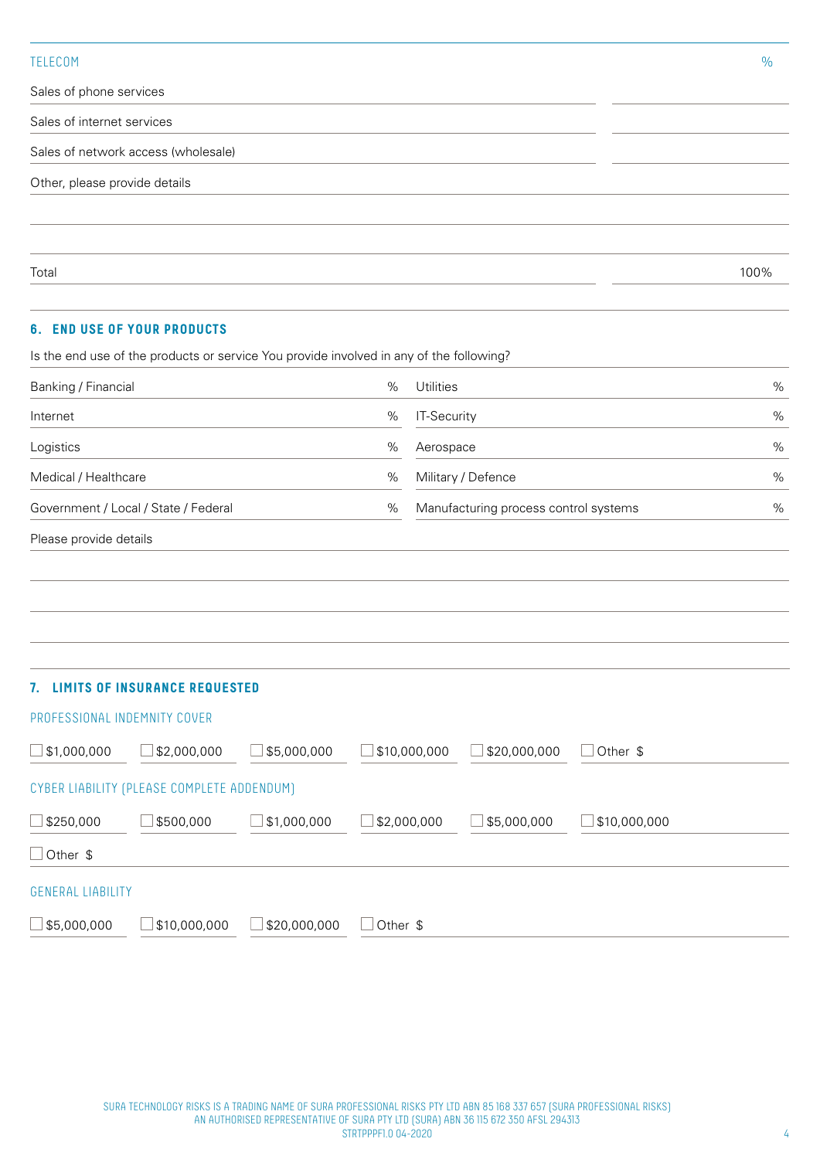### TELECOM %

Sales of phone services

Sales of internet services

Sales of network access (wholesale)

Other, please provide details

Total 100%

### **6. END USE OF YOUR PRODUCTS**

Is the end use of the products or service You provide involved in any of the following?

| Banking / Financial          |                                            |              | %        | Utilities    |                                       |                 | $\%$ |
|------------------------------|--------------------------------------------|--------------|----------|--------------|---------------------------------------|-----------------|------|
| Internet                     |                                            |              | $\%$     | IT-Security  |                                       |                 | $\%$ |
| Logistics                    |                                            |              | $\%$     | Aerospace    |                                       |                 | %    |
| Medical / Healthcare         |                                            |              | $\%$     |              | Military / Defence                    |                 | $\%$ |
|                              | Government / Local / State / Federal       |              | $\%$     |              | Manufacturing process control systems |                 | $\%$ |
| Please provide details       |                                            |              |          |              |                                       |                 |      |
|                              |                                            |              |          |              |                                       |                 |      |
|                              |                                            |              |          |              |                                       |                 |      |
|                              |                                            |              |          |              |                                       |                 |      |
|                              |                                            |              |          |              |                                       |                 |      |
|                              | 7. LIMITS OF INSURANCE REQUESTED           |              |          |              |                                       |                 |      |
| PROFESSIONAL INDEMNITY COVER |                                            |              |          |              |                                       |                 |      |
| $\vert$ \$1,000,000          | $\Box$ \$2,000,000                         | \$5,000,000  |          | \$10,000,000 | \$20,000,000                          | $\Box$ Other \$ |      |
|                              | CYBER LIABILITY (PLEASE COMPLETE ADDENDUM) |              |          |              |                                       |                 |      |
| \$250,000                    | \$500,000                                  | \$1,000,000  |          | \$2,000,000  | \$5,000,000                           | \$10,000,000    |      |
| Other \$                     |                                            |              |          |              |                                       |                 |      |
| <b>GENERAL LIABILITY</b>     |                                            |              |          |              |                                       |                 |      |
| \$5,000,000                  | \$10,000,000                               | \$20,000,000 | Other \$ |              |                                       |                 |      |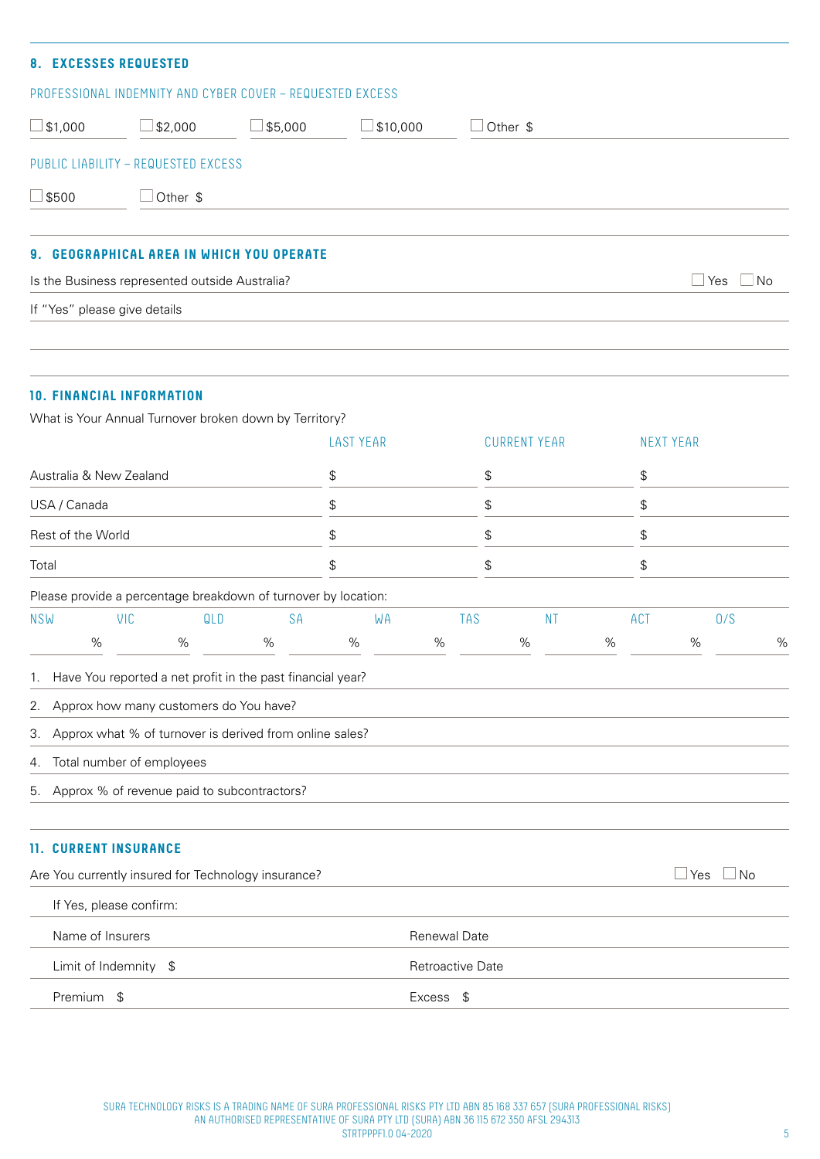| $\mathbf{a}$                                                           | <b>EXCESSES REQUESTED</b>                                 |         |                                      |          |  |  |  |  |  |
|------------------------------------------------------------------------|-----------------------------------------------------------|---------|--------------------------------------|----------|--|--|--|--|--|
|                                                                        | PROFESSIONAL INDEMNITY AND CYBER COVER - REQUESTED EXCESS |         |                                      |          |  |  |  |  |  |
| $\Box$ \$1,000                                                         | \$2,000                                                   | \$5,000 | \$10,000<br>$\overline{\phantom{a}}$ | Other \$ |  |  |  |  |  |
|                                                                        | PUBLIC LIABILITY - REQUESTED EXCESS                       |         |                                      |          |  |  |  |  |  |
| $\Box$ \$500                                                           | Other \$                                                  |         |                                      |          |  |  |  |  |  |
|                                                                        |                                                           |         |                                      |          |  |  |  |  |  |
| 9. GEOGRAPHICAL AREA IN WHICH YOU OPERATE                              |                                                           |         |                                      |          |  |  |  |  |  |
| $\sqcup$ Yes<br>Is the Business represented outside Australia?<br>  No |                                                           |         |                                      |          |  |  |  |  |  |
| If "Yes" please give details                                           |                                                           |         |                                      |          |  |  |  |  |  |

# **10. FINANCIAL INFORMATION**

What is Your Annual Turnover broken down by Territory?

|                         |                              |                                                                                                                                                  |           | <b>LAST YEAR</b> |    |                  | <b>CURRENT YEAR</b> |           |      |            | <b>NEXT YEAR</b> |     |   |
|-------------------------|------------------------------|--------------------------------------------------------------------------------------------------------------------------------------------------|-----------|------------------|----|------------------|---------------------|-----------|------|------------|------------------|-----|---|
| Australia & New Zealand |                              |                                                                                                                                                  | \$        |                  |    | \$               |                     |           | \$   |            |                  |     |   |
|                         | USA / Canada                 |                                                                                                                                                  |           | \$               |    |                  | \$                  |           |      | \$         | \$               |     |   |
|                         | Rest of the World            |                                                                                                                                                  |           | \$               |    |                  | \$                  |           |      |            |                  |     |   |
| Total                   |                              |                                                                                                                                                  |           | \$               |    |                  | \$                  |           |      | \$         |                  |     |   |
|                         |                              | Please provide a percentage breakdown of turnover by location:                                                                                   |           |                  |    |                  |                     |           |      |            |                  |     |   |
| <b>NSW</b>              | <b>VIC</b>                   | QLD                                                                                                                                              | <b>SA</b> |                  | WA | <b>TAS</b>       |                     | <b>NT</b> |      | <b>ACT</b> |                  | 0/S |   |
|                         | %                            | $\%$                                                                                                                                             | $\%$      | $\%$             |    | $\%$             | $\%$                |           | $\%$ |            | %                |     | % |
| 2.<br>3.<br>4.<br>5.    | Total number of employees    | Approx how many customers do You have?<br>Approx what % of turnover is derived from online sales?<br>Approx % of revenue paid to subcontractors? |           |                  |    |                  |                     |           |      |            |                  |     |   |
|                         | <b>11. CURRENT INSURANCE</b> |                                                                                                                                                  |           |                  |    |                  |                     |           |      |            |                  |     |   |
|                         |                              | Are You currently insured for Technology insurance?                                                                                              |           |                  |    |                  |                     |           |      |            | $\Box$ Yes       | ⊥No |   |
|                         | If Yes, please confirm:      |                                                                                                                                                  |           |                  |    |                  |                     |           |      |            |                  |     |   |
|                         | Name of Insurers             |                                                                                                                                                  |           |                  |    | Renewal Date     |                     |           |      |            |                  |     |   |
|                         | Limit of Indemnity \$        |                                                                                                                                                  |           |                  |    | Retroactive Date |                     |           |      |            |                  |     |   |
|                         | Premium \$                   |                                                                                                                                                  |           |                  |    | Excess \$        |                     |           |      |            |                  |     |   |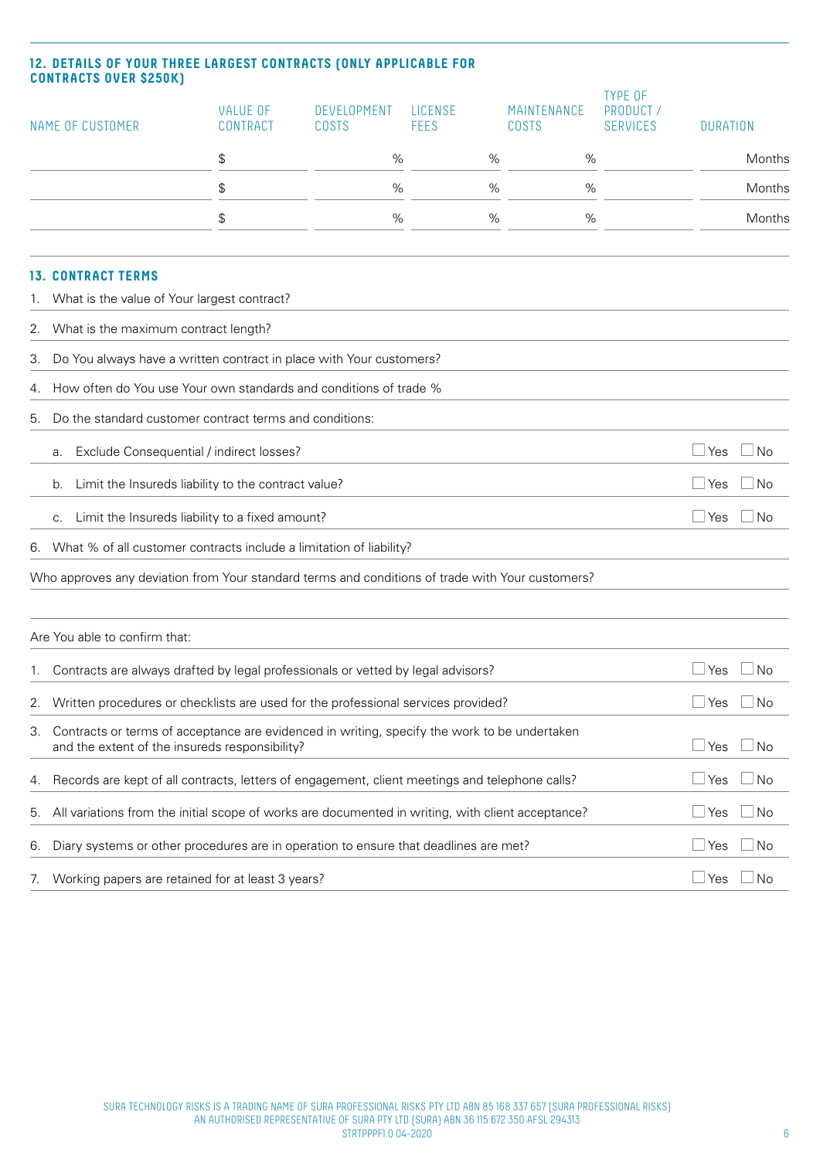# **12. DETAILS OF YOUR THREE LARGEST CONTRACTS (ONLY APPLICABLE FOR CONTRACTS OVER \$250K)**

| NAME OF CUSTOMER |                                                                                                                                                                      | <b>VALUE OF</b><br>CONTRACT | DEVELOPMENT<br>COSTS | LICENSE<br><b>FEES</b> | MAINTENANCE<br><b>COSTS</b> | <b>TYPE OF</b><br>PRODUCT 7<br><b>SERVICES</b> | <b>DURATION</b>      |           |
|------------------|----------------------------------------------------------------------------------------------------------------------------------------------------------------------|-----------------------------|----------------------|------------------------|-----------------------------|------------------------------------------------|----------------------|-----------|
|                  |                                                                                                                                                                      | \$                          | %                    | %                      | %                           |                                                |                      | Months    |
|                  |                                                                                                                                                                      | \$                          | %                    | $\%$                   | %                           |                                                |                      | Months    |
|                  |                                                                                                                                                                      | \$                          | $\%$                 | $\%$                   | $\%$                        |                                                |                      | Months    |
|                  | <b>13. CONTRACT TERMS</b>                                                                                                                                            |                             |                      |                        |                             |                                                |                      |           |
| 1.               | What is the value of Your largest contract?                                                                                                                          |                             |                      |                        |                             |                                                |                      |           |
| 2.               | What is the maximum contract length?                                                                                                                                 |                             |                      |                        |                             |                                                |                      |           |
| З.               | Do You always have a written contract in place with Your customers?                                                                                                  |                             |                      |                        |                             |                                                |                      |           |
| 4.               | How often do You use Your own standards and conditions of trade %                                                                                                    |                             |                      |                        |                             |                                                |                      |           |
| 5.               | Do the standard customer contract terms and conditions:                                                                                                              |                             |                      |                        |                             |                                                |                      |           |
|                  | Exclude Consequential / indirect losses?<br>а.                                                                                                                       |                             |                      |                        |                             |                                                | $\Box$ Yes           | No        |
|                  | Limit the Insureds liability to the contract value?<br>b.                                                                                                            |                             |                      |                        |                             |                                                | $\Box$ Yes           | $\Box$ No |
|                  | Limit the Insureds liability to a fixed amount?<br>C.                                                                                                                |                             |                      |                        |                             |                                                | $\Box$ Yes           | No        |
|                  | 6. What % of all customer contracts include a limitation of liability?                                                                                               |                             |                      |                        |                             |                                                |                      |           |
|                  | Who approves any deviation from Your standard terms and conditions of trade with Your customers?                                                                     |                             |                      |                        |                             |                                                |                      |           |
|                  |                                                                                                                                                                      |                             |                      |                        |                             |                                                |                      |           |
|                  | Are You able to confirm that:                                                                                                                                        |                             |                      |                        |                             |                                                |                      |           |
|                  | Contracts are always drafted by legal professionals or vetted by legal advisors?                                                                                     |                             |                      |                        |                             |                                                | ⊥ Yes                | No        |
|                  | 2. Written procedures or checklists are used for the professional services provided?                                                                                 |                             |                      |                        |                             |                                                | $\Box$ Yes $\Box$ No |           |
| 3.               | Contracts or terms of acceptance are evidenced in writing, specify the work to be undertaken<br>$\Box$ Yes<br>and the extent of the insureds responsibility?<br>⊿ No |                             |                      |                        |                             |                                                |                      |           |
| 4.               | Records are kept of all contracts, letters of engagement, client meetings and telephone calls?                                                                       |                             |                      |                        |                             |                                                | $\Box$ Yes           | $\Box$ No |
| 5.               | All variations from the initial scope of works are documented in writing, with client acceptance?                                                                    |                             |                      |                        |                             |                                                | $\Box$ Yes           | $\Box$ No |
| 6.               | Diary systems or other procedures are in operation to ensure that deadlines are met?                                                                                 |                             |                      |                        |                             |                                                | $\sqcup$ Yes         | ∟ No      |
| 7.               | Working papers are retained for at least 3 years?                                                                                                                    |                             |                      |                        |                             |                                                | $\Box$ Yes           | No        |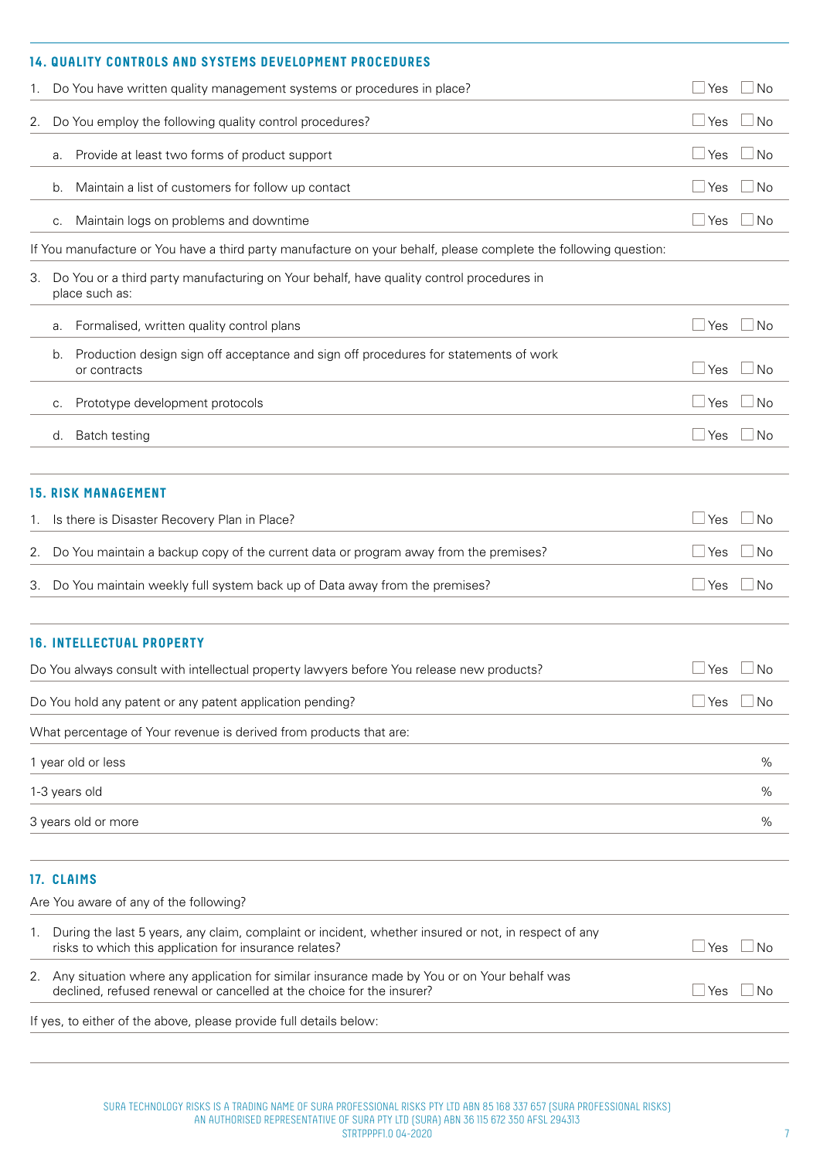|    |                                                                                                                  | <b>14. QUALITY CONTROLS AND SYSTEMS DEVELOPMENT PROCEDURES</b>                                                                                                       |                      |           |  |  |  |
|----|------------------------------------------------------------------------------------------------------------------|----------------------------------------------------------------------------------------------------------------------------------------------------------------------|----------------------|-----------|--|--|--|
| 1. |                                                                                                                  | Do You have written quality management systems or procedures in place?                                                                                               | Yes                  | No        |  |  |  |
| 2. |                                                                                                                  | Do You employ the following quality control procedures?                                                                                                              | Yes                  | No        |  |  |  |
|    | а.                                                                                                               | Provide at least two forms of product support                                                                                                                        | Yes                  | No        |  |  |  |
|    | b.                                                                                                               | Maintain a list of customers for follow up contact                                                                                                                   | Yes                  | No        |  |  |  |
|    | C.                                                                                                               | Maintain logs on problems and downtime                                                                                                                               | Yes                  | No        |  |  |  |
|    | If You manufacture or You have a third party manufacture on your behalf, please complete the following question: |                                                                                                                                                                      |                      |           |  |  |  |
| З. |                                                                                                                  | Do You or a third party manufacturing on Your behalf, have quality control procedures in<br>place such as:                                                           |                      |           |  |  |  |
|    | а.                                                                                                               | Formalised, written quality control plans                                                                                                                            | Yes                  | No        |  |  |  |
|    | b.                                                                                                               | Production design sign off acceptance and sign off procedures for statements of work<br>or contracts                                                                 | ⊿ Yes                | No        |  |  |  |
|    | С.                                                                                                               | Prototype development protocols                                                                                                                                      | ⊿ Yes                | No        |  |  |  |
|    | d.                                                                                                               | Batch testing                                                                                                                                                        | ⊿ Yes                | No        |  |  |  |
|    |                                                                                                                  |                                                                                                                                                                      |                      |           |  |  |  |
|    |                                                                                                                  | <b>15. RISK MANAGEMENT</b>                                                                                                                                           |                      |           |  |  |  |
| 1. |                                                                                                                  | Is there is Disaster Recovery Plan in Place?                                                                                                                         | Yes                  | No        |  |  |  |
| 2. |                                                                                                                  | Do You maintain a backup copy of the current data or program away from the premises?                                                                                 | Yes                  | No        |  |  |  |
| 3. |                                                                                                                  | Do You maintain weekly full system back up of Data away from the premises?                                                                                           | <b>Yes</b>           | No        |  |  |  |
|    |                                                                                                                  | <b>16. INTELLECTUAL PROPERTY</b>                                                                                                                                     |                      |           |  |  |  |
|    |                                                                                                                  | Do You always consult with intellectual property lawyers before You release new products?                                                                            | $\Box$ Yes $\Box$ No |           |  |  |  |
|    |                                                                                                                  | Do You hold any patent or any patent application pending?                                                                                                            | ⊥Yes                 | l No      |  |  |  |
|    |                                                                                                                  | What percentage of Your revenue is derived from products that are:                                                                                                   |                      |           |  |  |  |
|    |                                                                                                                  | 1 year old or less                                                                                                                                                   |                      | $\%$      |  |  |  |
|    |                                                                                                                  | 1-3 years old                                                                                                                                                        |                      | %         |  |  |  |
|    |                                                                                                                  | 3 years old or more                                                                                                                                                  |                      | %         |  |  |  |
|    |                                                                                                                  | 17. CLAIMS                                                                                                                                                           |                      |           |  |  |  |
|    |                                                                                                                  | Are You aware of any of the following?                                                                                                                               |                      |           |  |  |  |
| 1. |                                                                                                                  | During the last 5 years, any claim, complaint or incident, whether insured or not, in respect of any<br>risks to which this application for insurance relates?       | $\sqcup$ Yes         | No        |  |  |  |
| 2. |                                                                                                                  | Any situation where any application for similar insurance made by You or on Your behalf was<br>declined, refused renewal or cancelled at the choice for the insurer? | ⊥Yes                 | <b>No</b> |  |  |  |
|    |                                                                                                                  | If yes, to either of the above, please provide full details below:                                                                                                   |                      |           |  |  |  |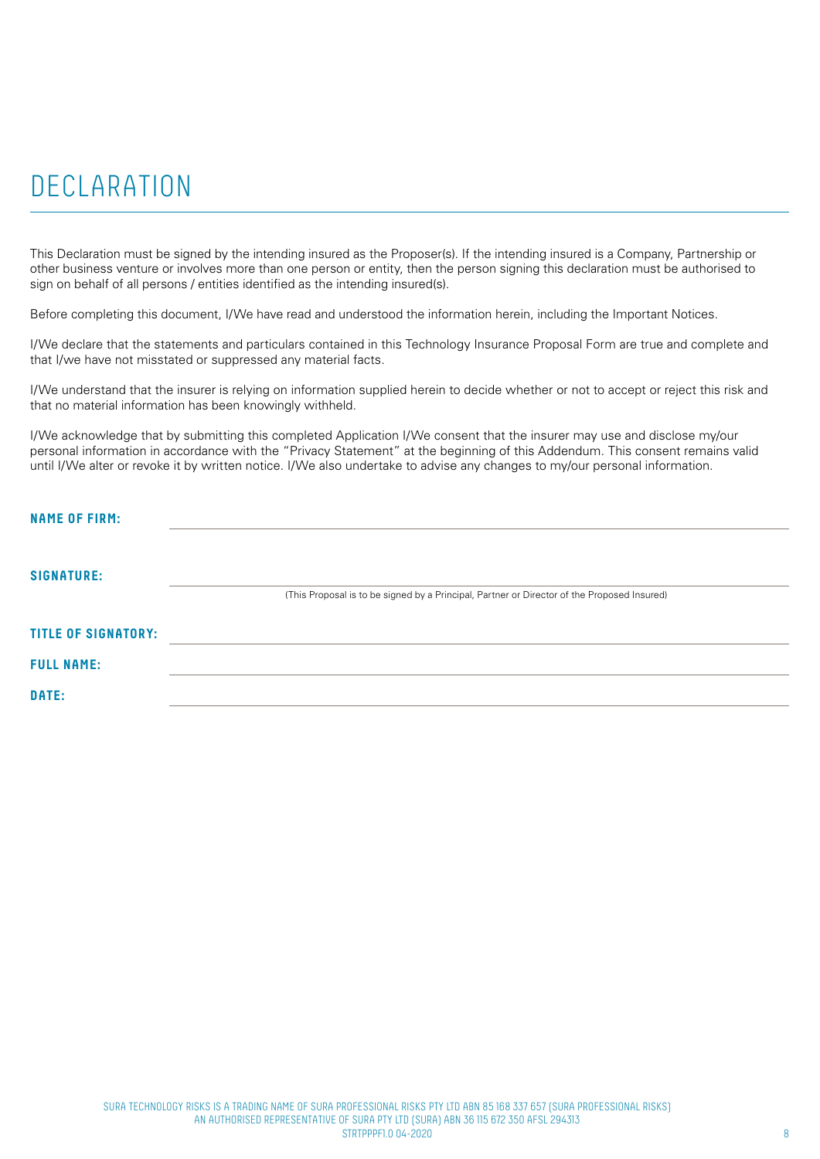# DECLARATION

This Declaration must be signed by the intending insured as the Proposer(s). If the intending insured is a Company, Partnership or other business venture or involves more than one person or entity, then the person signing this declaration must be authorised to sign on behalf of all persons / entities identified as the intending insured(s).

Before completing this document, I/We have read and understood the information herein, including the Important Notices.

I/We declare that the statements and particulars contained in this Technology Insurance Proposal Form are true and complete and that I/we have not misstated or suppressed any material facts.

I/We understand that the insurer is relying on information supplied herein to decide whether or not to accept or reject this risk and that no material information has been knowingly withheld.

I/We acknowledge that by submitting this completed Application I/We consent that the insurer may use and disclose my/our personal information in accordance with the "Privacy Statement" at the beginning of this Addendum. This consent remains valid until I/We alter or revoke it by written notice. I/We also undertake to advise any changes to my/our personal information.

| <b>NAME OF FIRM:</b>       |                                                                                             |
|----------------------------|---------------------------------------------------------------------------------------------|
| <b>SIGNATURE:</b>          | (This Proposal is to be signed by a Principal, Partner or Director of the Proposed Insured) |
| <b>TITLE OF SIGNATORY:</b> |                                                                                             |
| <b>FULL NAME:</b>          |                                                                                             |
| DATE:                      |                                                                                             |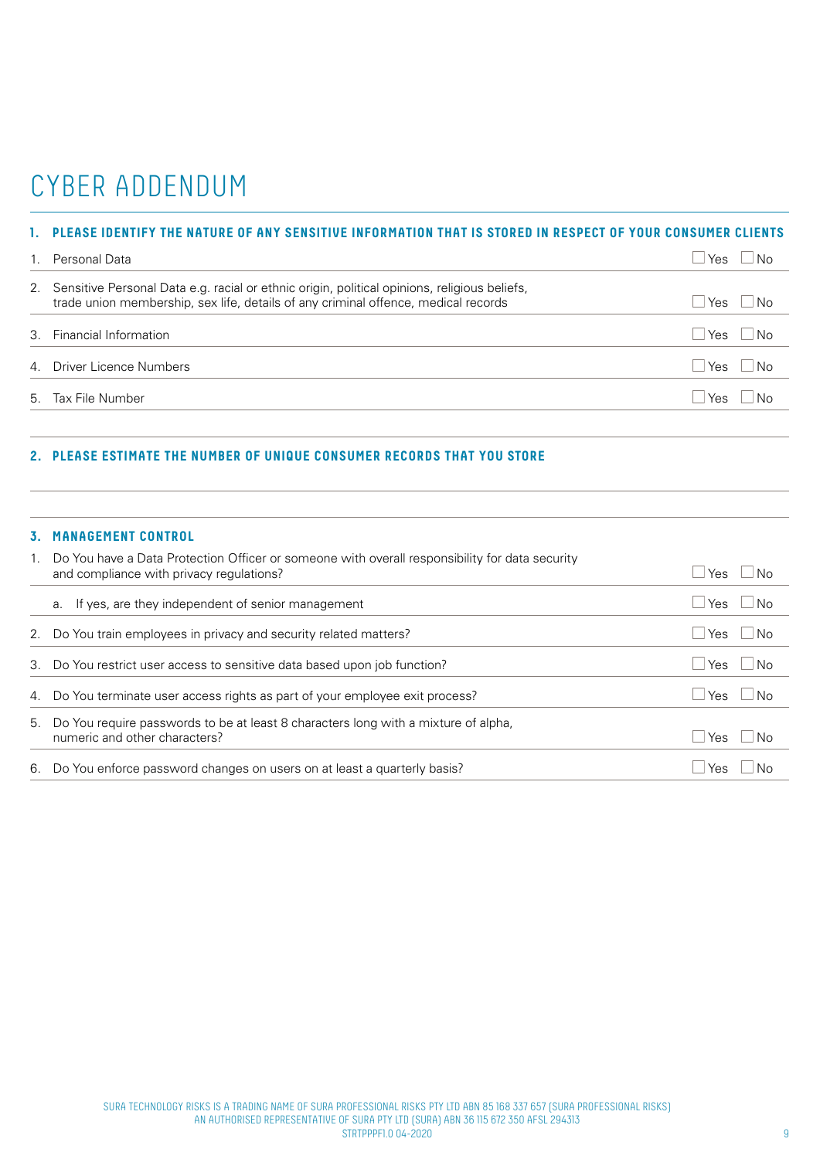# CYBER ADDENDUM

# **1. PLEASE IDENTIFY THE NATURE OF ANY SENSITIVE INFORMATION THAT IS STORED IN RESPECT OF YOUR CONSUMER CLIENTS**

| Personal Data                                                                                                                                                                         | Yes        | ∣No                         |
|---------------------------------------------------------------------------------------------------------------------------------------------------------------------------------------|------------|-----------------------------|
| 2. Sensitive Personal Data e.g. racial or ethnic origin, political opinions, religious beliefs,<br>trade union membership, sex life, details of any criminal offence, medical records | l Yes      | $\overline{\phantom{a}}$ No |
| 3. Financial Information                                                                                                                                                              | l Yes      | $\vert$ $\vert$ No          |
| 4. Driver Licence Numbers                                                                                                                                                             | $Yes$ $No$ |                             |
| 5. Tax File Number                                                                                                                                                                    | Yes        | ∣No                         |

# **2. PLEASE ESTIMATE THE NUMBER OF UNIQUE CONSUMER RECORDS THAT YOU STORE**

### **3. MANAGEMENT CONTROL**

| 1. | Do You have a Data Protection Officer or someone with overall responsibility for data security<br>and compliance with privacy regulations? | <b>Yes</b><br>∣No  |
|----|--------------------------------------------------------------------------------------------------------------------------------------------|--------------------|
|    | a. If yes, are they independent of senior management                                                                                       | ⊥ Yes<br>No        |
|    | 2. Do You train employees in privacy and security related matters?                                                                         | ⊧∃Yes<br>l No      |
|    | 3. Do You restrict user access to sensitive data based upon job function?                                                                  | l Yes<br>∣No       |
|    | 4. Do You terminate user access rights as part of your employee exit process?                                                              | ⊥ Yes<br>∣ No      |
|    | 5. Do You require passwords to be at least 8 characters long with a mixture of alpha,<br>numeric and other characters?                     | <b>Yes</b><br>l No |
|    | 6. Do You enforce password changes on users on at least a quarterly basis?                                                                 | Yes                |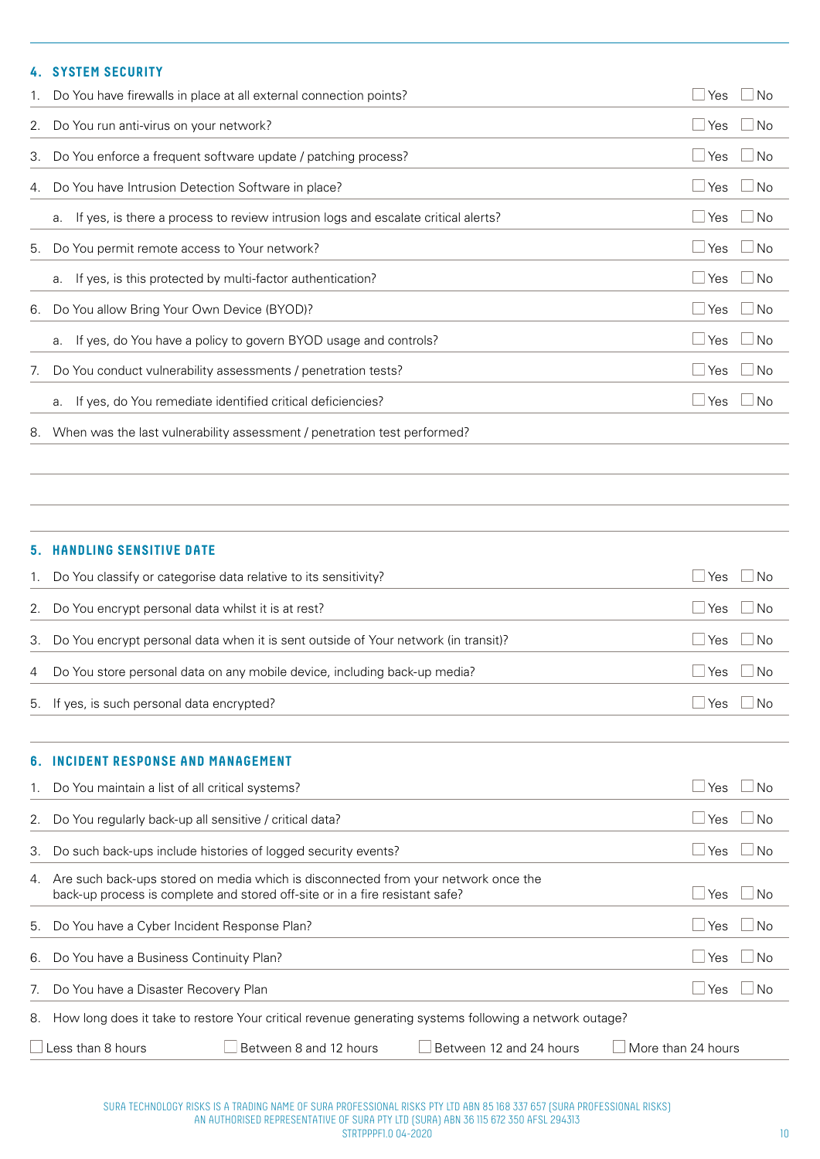# **4. SYSTEM SECURITY**

|    | 1. Do You have firewalls in place at all external connection points?                    |                           |  |  |  |  |  |
|----|-----------------------------------------------------------------------------------------|---------------------------|--|--|--|--|--|
|    | 2. Do You run anti-virus on your network?                                               | $\Box$ Yes<br>$\Box$ No   |  |  |  |  |  |
|    | 3. Do You enforce a frequent software update / patching process?                        | $\Box$ No<br>$\sqcup$ Yes |  |  |  |  |  |
|    | 4. Do You have Intrusion Detection Software in place?                                   | $\Box$ No<br>$\sqcup$ Yes |  |  |  |  |  |
|    | If yes, is there a process to review intrusion logs and escalate critical alerts?<br>a. | $\Box$ No<br>⊿ Yes        |  |  |  |  |  |
|    | 5. Do You permit remote access to Your network?                                         | $\Box$ Yes<br>$\Box$ No   |  |  |  |  |  |
|    | If yes, is this protected by multi-factor authentication?<br>a.                         | $\Box$ No<br>l Yes        |  |  |  |  |  |
|    | 6. Do You allow Bring Your Own Device (BYOD)?                                           | $\Box$ No<br>⊥ Yes        |  |  |  |  |  |
|    | If yes, do You have a policy to govern BYOD usage and controls?<br>a.                   | $\Box$ No<br>l Yes        |  |  |  |  |  |
| 7. | Do You conduct vulnerability assessments / penetration tests?                           | l Yes<br>No               |  |  |  |  |  |
|    | a. If yes, do You remediate identified critical deficiencies?                           | <b>No</b><br>Yes          |  |  |  |  |  |
| 8. | When was the last vulnerability assessment / penetration test performed?                |                           |  |  |  |  |  |

### **5. HANDLING SENSITIVE DATE**

|    | Do You classify or categorise data relative to its sensitivity?                       | Yes          | No        |
|----|---------------------------------------------------------------------------------------|--------------|-----------|
|    | 2. Do You encrypt personal data whilst it is at rest?                                 | $\sqcup$ Yes | <b>No</b> |
|    | 3. Do You encrypt personal data when it is sent outside of Your network (in transit)? | $\sqcup$ Yes | $\Box$ No |
| 4  | Do You store personal data on any mobile device, including back-up media?             | Yes          | $\Box$ No |
|    | 5. If yes, is such personal data encrypted?                                           | l Yes        | -No       |
| 6. | <b>INCIDENT RESPONSE AND MANAGEMENT</b>                                               |              |           |
|    | 1. Do You maintain a list of all critical systems?                                    | Yes          | N∩        |

| 2. | Do You regularly back-up all sensitive / critical data?                                                                                                            | - I No<br>Yes                        |  |                    |  |  |
|----|--------------------------------------------------------------------------------------------------------------------------------------------------------------------|--------------------------------------|--|--------------------|--|--|
| 3. | Do such back-ups include histories of logged security events?                                                                                                      |                                      |  |                    |  |  |
| 4. | Are such back-ups stored on media which is disconnected from your network once the<br>back-up process is complete and stored off-site or in a fire resistant safe? | l Yes<br>$\Box$ No                   |  |                    |  |  |
| 5. | Do You have a Cyber Incident Response Plan?                                                                                                                        | $\overline{\phantom{1}}$ No<br>l Yes |  |                    |  |  |
| 6. | Do You have a Business Continuity Plan?                                                                                                                            |                                      |  | $\Box$ No<br>l Yes |  |  |
| 7. | Do You have a Disaster Recovery Plan                                                                                                                               | - I No<br>l Yes                      |  |                    |  |  |
| 8. | How long does it take to restore Your critical revenue generating systems following a network outage?                                                              |                                      |  |                    |  |  |
|    | Between 8 and 12 hours<br>ess than 8 hours<br>Between 12 and 24 hours<br>More than 24 hours                                                                        |                                      |  |                    |  |  |

SURA TECHNOLOGY RISKS IS A TRADING NAME OF SURA PROFESSIONAL RISKS PTY LTD ABN 85 168 337 657 (SURA PROFESSIONAL RISKS) AN AUTHORISED REPRESENTATIVE OF SURA PTY LTD (SURA) ABN 36 115 672 350 AFSL 294313 STRTPPPF1.0 04-2020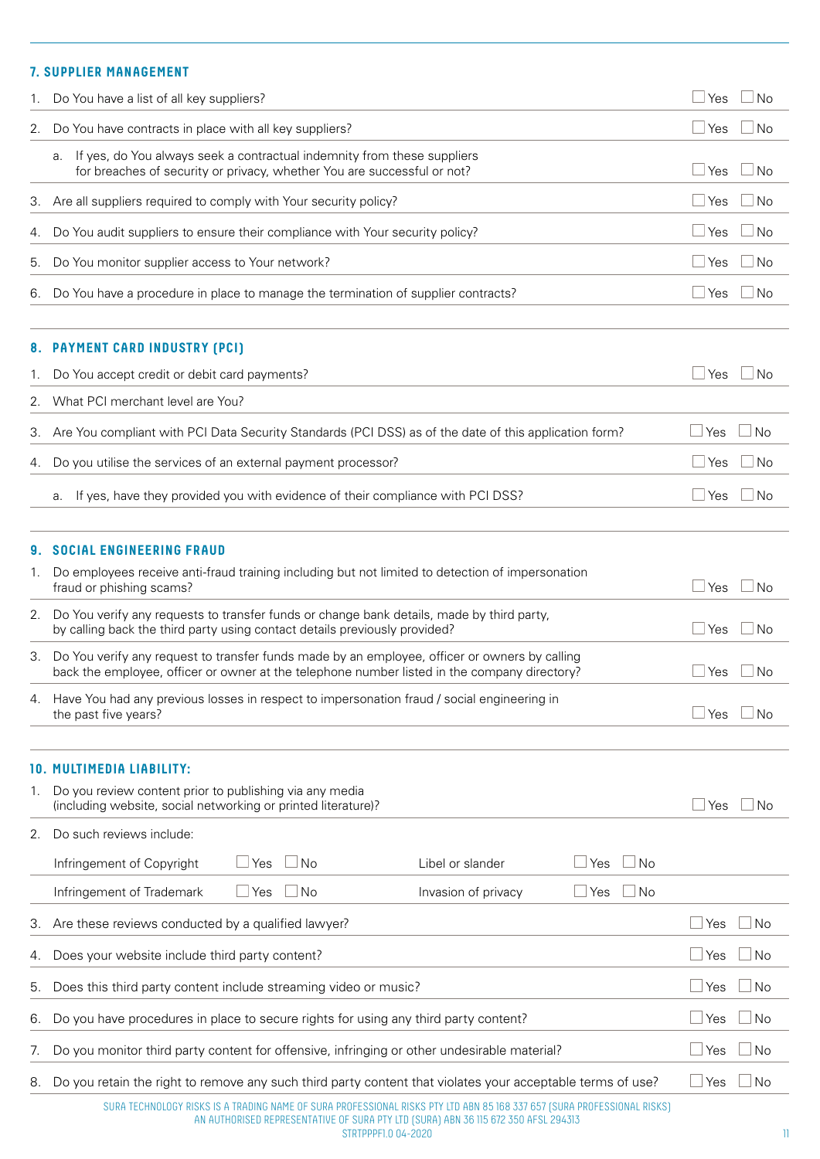# **7. SUPPLIER MANAGEMENT**

| 1. | Do You have a list of all key suppliers?                                                                                                                                                      | ⊥Yes         | No        |
|----|-----------------------------------------------------------------------------------------------------------------------------------------------------------------------------------------------|--------------|-----------|
| 2. | Do You have contracts in place with all key suppliers?                                                                                                                                        | $\Box$ Yes   | <b>No</b> |
|    | If yes, do You always seek a contractual indemnity from these suppliers<br>а.<br>for breaches of security or privacy, whether You are successful or not?                                      | $\sqcup$ Yes | <b>No</b> |
| З. | Are all suppliers required to comply with Your security policy?                                                                                                                               | $\sqcup$ Yes | <b>No</b> |
| 4. | Do You audit suppliers to ensure their compliance with Your security policy?                                                                                                                  | $\Box$ Yes   | No        |
| 5. | Do You monitor supplier access to Your network?                                                                                                                                               | $\Box$ Yes   | No        |
|    | 6. Do You have a procedure in place to manage the termination of supplier contracts?                                                                                                          | $\Box$ Yes   | <b>No</b> |
|    | 8. PAYMENT CARD INDUSTRY (PCI)                                                                                                                                                                |              |           |
| 1. | Do You accept credit or debit card payments?                                                                                                                                                  | $\sqcup$ Yes | <b>No</b> |
| 2. | What PCI merchant level are You?                                                                                                                                                              |              |           |
| З. | Are You compliant with PCI Data Security Standards (PCI DSS) as of the date of this application form?                                                                                         | Yes          | <b>No</b> |
| 4. | Do you utilise the services of an external payment processor?                                                                                                                                 | ⊿ Yes        | No        |
|    | If yes, have they provided you with evidence of their compliance with PCI DSS?<br>а.                                                                                                          | ⊥Yes         | <b>No</b> |
| 9. | <b>SOCIAL ENGINEERING FRAUD</b>                                                                                                                                                               |              |           |
| 1. | Do employees receive anti-fraud training including but not limited to detection of impersonation<br>fraud or phishing scams?                                                                  | $\Box$ Yes   | <b>No</b> |
| 2. | Do You verify any requests to transfer funds or change bank details, made by third party,<br>by calling back the third party using contact details previously provided?                       | $\Box$ Yes   | No        |
| З. | Do You verify any request to transfer funds made by an employee, officer or owners by calling<br>back the employee, officer or owner at the telephone number listed in the company directory? | ⊥Yes         | <b>No</b> |
| 4. | Have You had any previous losses in respect to impersonation fraud / social engineering in<br>the past five years?                                                                            | l Yes        | <b>No</b> |
|    | <b>10. MULTIMEDIA LIABILITY:</b>                                                                                                                                                              |              |           |
| 1. | Do you review content prior to publishing via any media<br>(including website, social networking or printed literature)?                                                                      | Yes          | <b>No</b> |
| 2. | Do such reviews include:                                                                                                                                                                      |              |           |
|    | ] No<br>Infringement of Copyright<br>$\sqcup$ Yes<br><b>No</b><br>Libel or slander<br>Yes                                                                                                     |              |           |
|    | $\exists$ No<br>Infringement of Trademark<br>$\sqcup$ Yes<br>  No<br>Invasion of privacy<br>$\sqcup$ Yes                                                                                      |              |           |
| 3. | Are these reviews conducted by a qualified lawyer?                                                                                                                                            | Yes          | No        |
| 4. | Does your website include third party content?                                                                                                                                                | Yes          | - I No    |
| 5. | Does this third party content include streaming video or music?                                                                                                                               | Yes          | ⊿ No      |
| 6. | Do you have procedures in place to secure rights for using any third party content?                                                                                                           | Yes          | <b>No</b> |
| 7. | Do you monitor third party content for offensive, infringing or other undesirable material?                                                                                                   | Yes          | No        |
| 8. | Do you retain the right to remove any such third party content that violates your acceptable terms of use?                                                                                    | $\Box$ Yes   | $\Box$ No |
|    | SURA TECHNOLOGY RISKS IS A TRADING NAME OF SURA PROFESSIONAL RISKS PTY LTD ABN 85 168 337 657 (SURA PROFESSIONAL RISKS)                                                                       |              |           |

AN AUTHORISED REPRESENTATIVE OF SURA PTY LTD (SURA) ABN 36 115 672 350 AFSL 294313